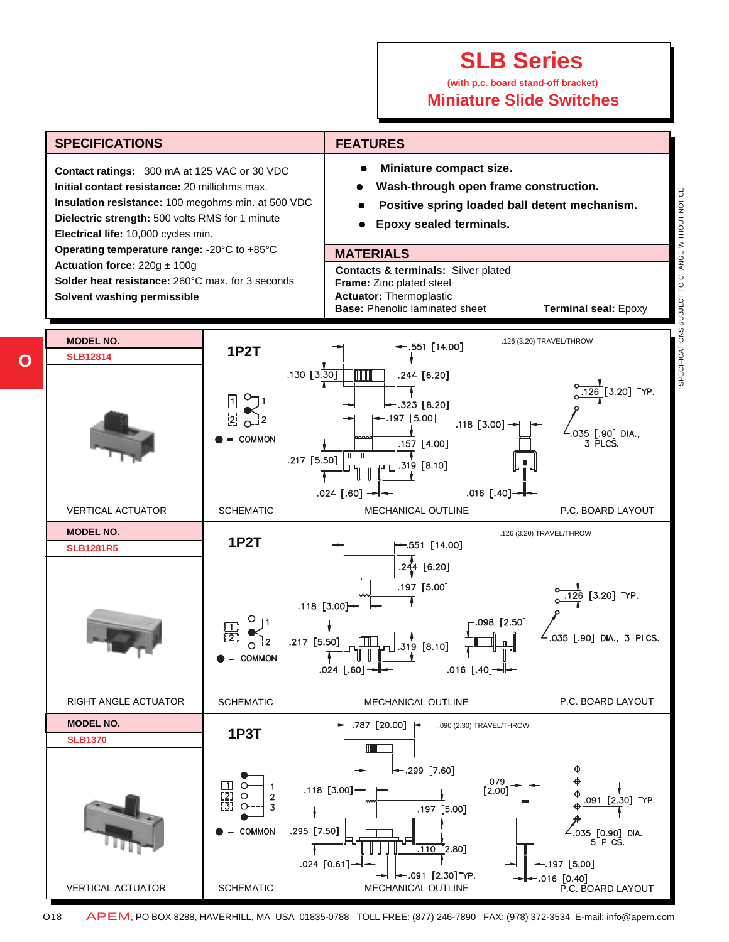#### **(with p.c. board stand-off bracket) Miniature Slide Switches**



**O**

O18 APEM, PO BOX 8288, HAVERHILL, MA USA 01835-0788 TOLL FREE: (877) 246-7890 FAX: (978) 372-3534 E-mail: info@apem.com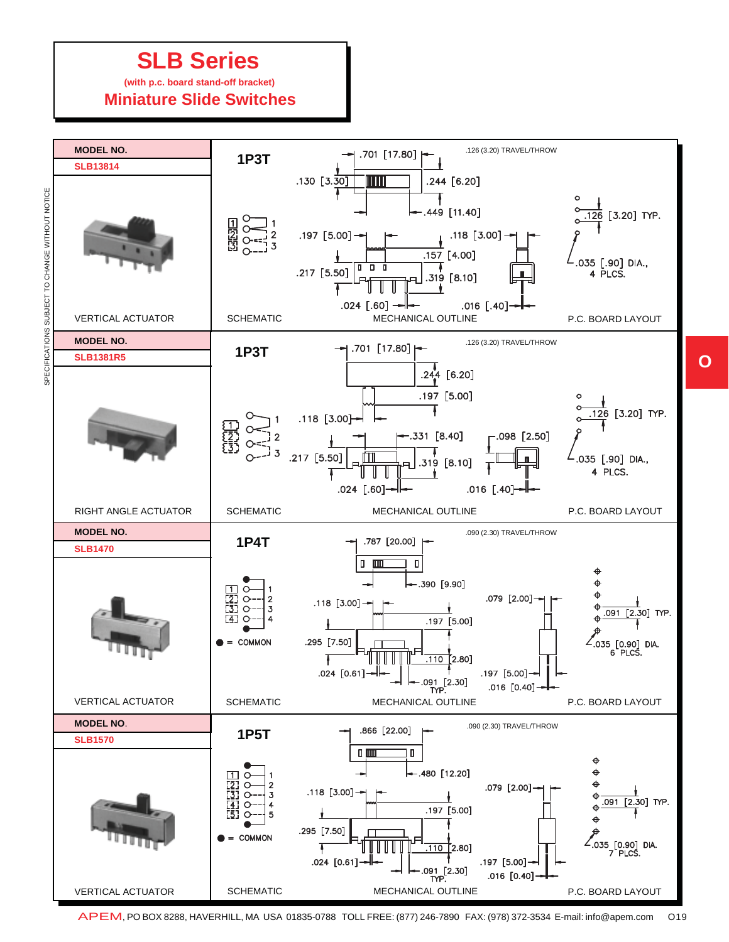#### **(with p.c. board stand-off bracket) Miniature Slide Switches**



APEM, PO BOX 8288, HAVERHILL, MA USA 01835-0788 TOLL FREE: (877) 246-7890 FAX: (978) 372-3534 E-mail: info@apem.com O19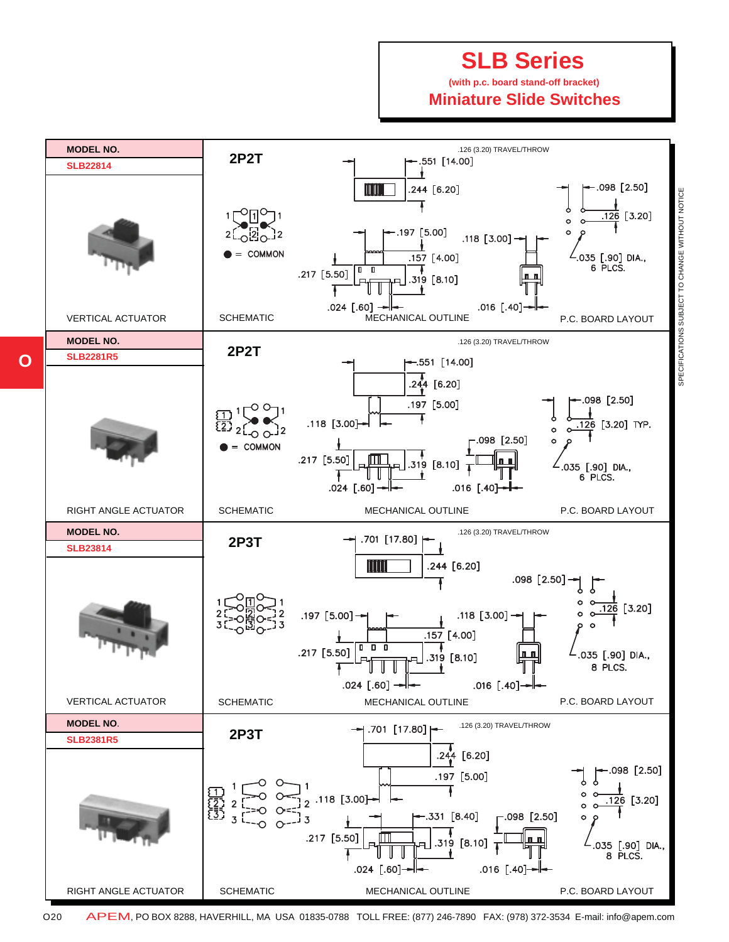#### **(with p.c. board stand-off bracket) Miniature Slide Switches**



O20 APEM, PO BOX 8288, HAVERHILL, MA USA 01835-0788 TOLL FREE: (877) 246-7890 FAX: (978) 372-3534 E-mail: info@apem.com

**O**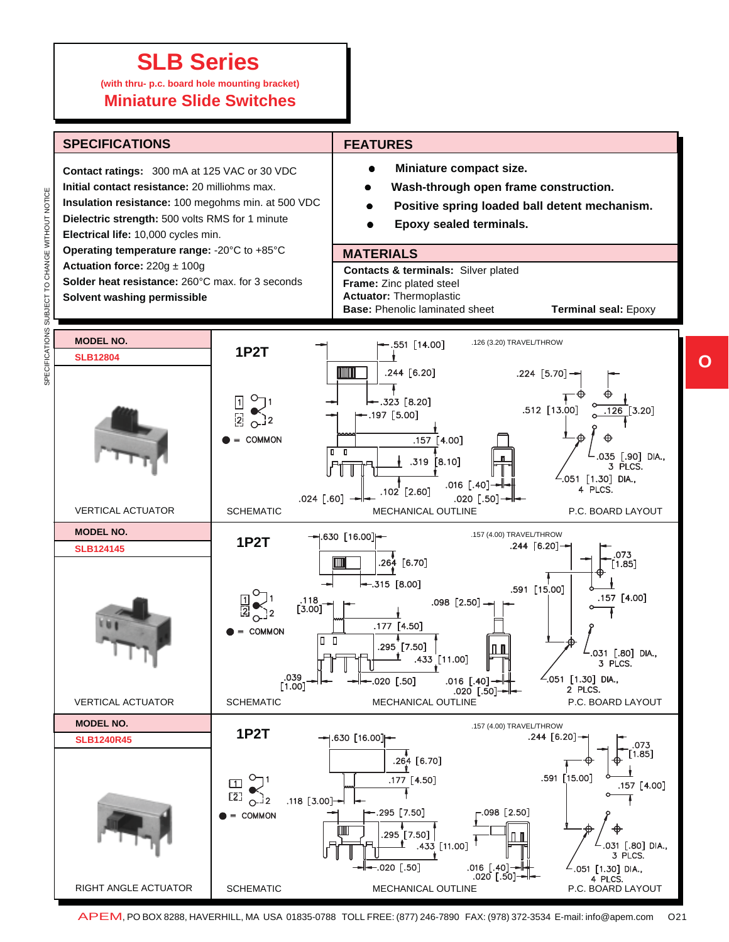**(with thru- p.c. board hole mounting bracket) Miniature Slide Switches**



**O**

APEM, PO BOX 8288, HAVERHILL, MA USA 01835-0788 TOLL FREE: (877) 246-7890 FAX: (978) 372-3534 E-mail: info@apem.com O21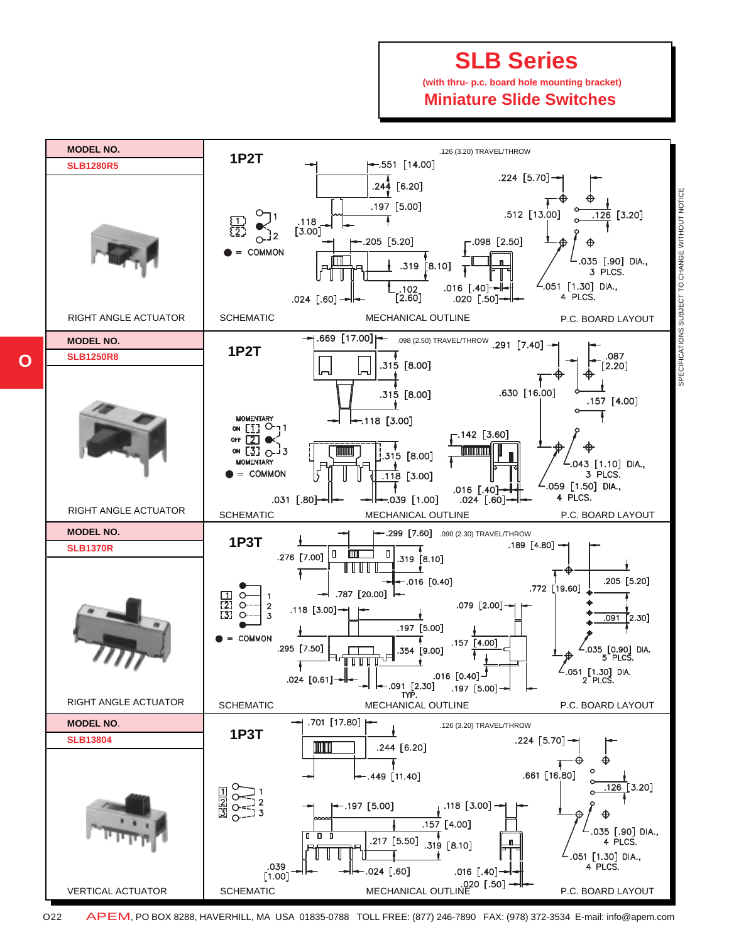**(with thru- p.c. board hole mounting bracket) Miniature Slide Switches**



O22 APEM, PO BOX 8288, HAVERHILL, MA USA 01835-0788 TOLL FREE: (877) 246-7890 FAX: (978) 372-3534 E-mail: info@apem.com

**O**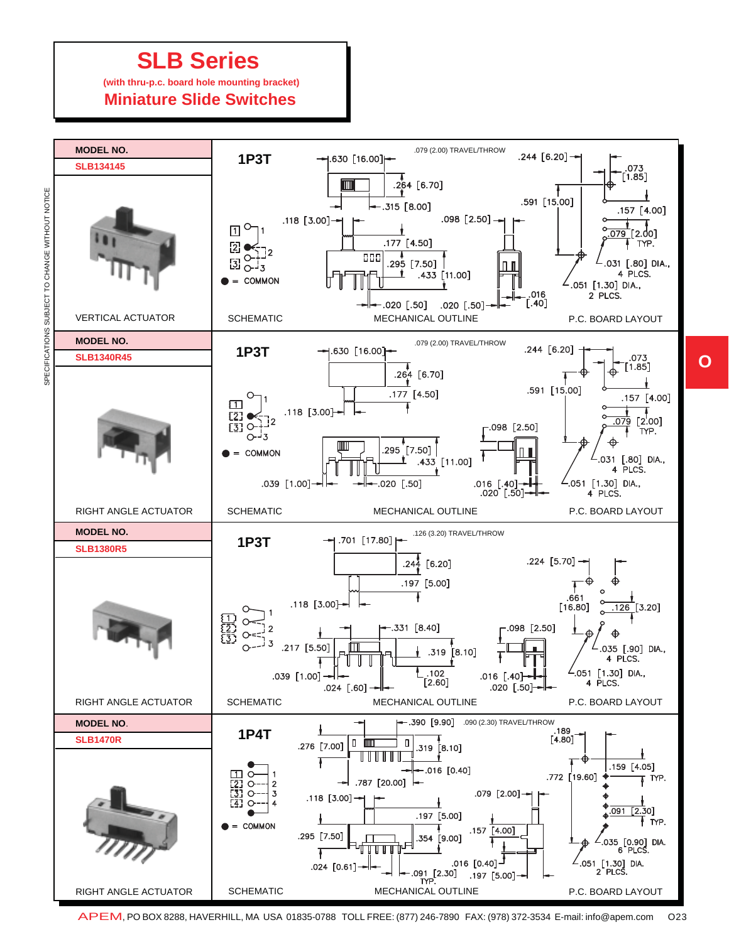**(with thru-p.c. board hole mounting bracket)**

 **Miniature Slide Switches**



APEM, PO BOX 8288, HAVERHILL, MA USA 01835-0788 TOLL FREE: (877) 246-7890 FAX: (978) 372-3534 E-mail: info@apem.com O23

**O**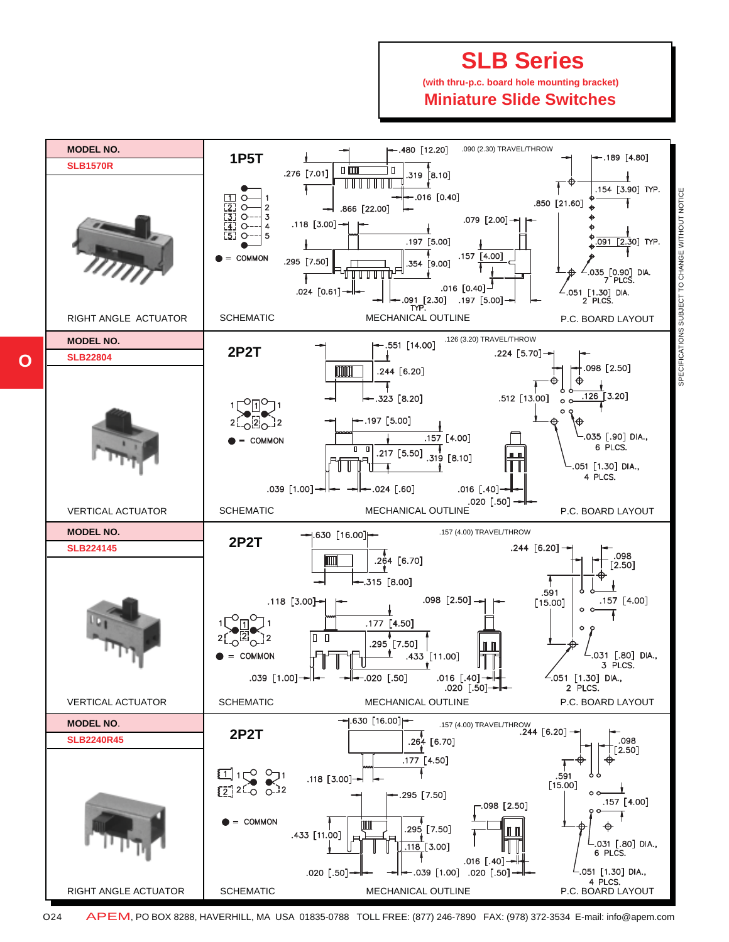**(with thru-p.c. board hole mounting bracket) Miniature Slide Switches**



**O**

O24 APEM, PO BOX 8288, HAVERHILL, MA USA 01835-0788 TOLL FREE: (877) 246-7890 FAX: (978) 372-3534 E-mail: info@apem.com